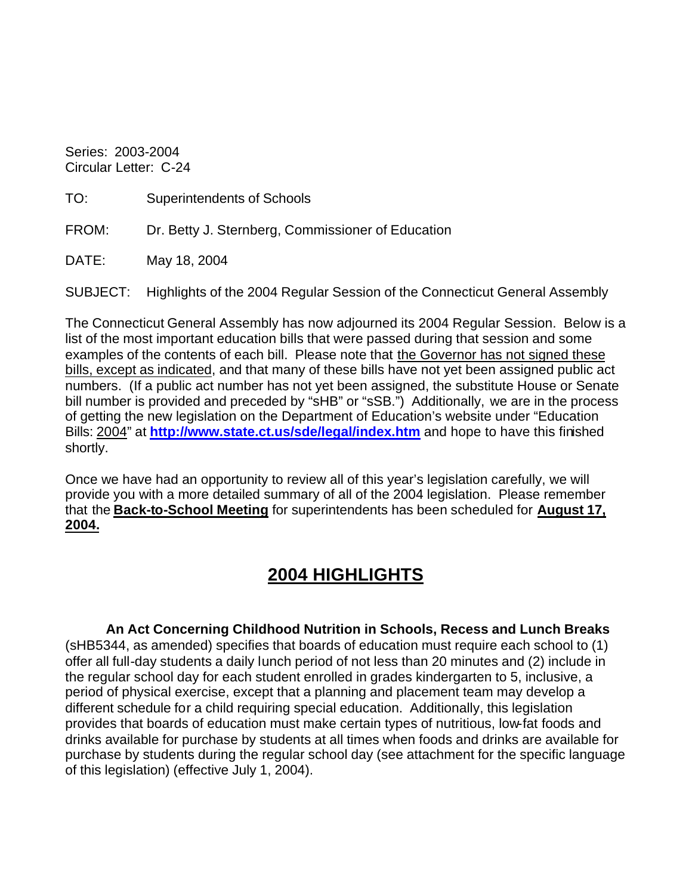Series: 2003-2004 Circular Letter: C-24

| TO: | Superintendents of Schools |
|-----|----------------------------|
|-----|----------------------------|

FROM: Dr. Betty J. Sternberg, Commissioner of Education

DATE: May 18, 2004

SUBJECT: Highlights of the 2004 Regular Session of the Connecticut General Assembly

The Connecticut General Assembly has now adjourned its 2004 Regular Session. Below is a list of the most important education bills that were passed during that session and some examples of the contents of each bill. Please note that the Governor has not signed these bills, except as indicated, and that many of these bills have not yet been assigned public act numbers. (If a public act number has not yet been assigned, the substitute House or Senate bill number is provided and preceded by "sHB" or "sSB.") Additionally, we are in the process of getting the new legislation on the Department of Education's website under "Education Bills: 2004" at **http://www.state.ct.us/sde/legal/index.htm** and hope to have this finished shortly.

Once we have had an opportunity to review all of this year's legislation carefully, we will provide you with a more detailed summary of all of the 2004 legislation. Please remember that the **Back-to-School Meeting** for superintendents has been scheduled for **August 17, 2004.** 

## **2004 HIGHLIGHTS**

**An Act Concerning Childhood Nutrition in Schools, Recess and Lunch Breaks**  (sHB5344, as amended) specifies that boards of education must require each school to (1) offer all full-day students a daily lunch period of not less than 20 minutes and (2) include in the regular school day for each student enrolled in grades kindergarten to 5, inclusive, a period of physical exercise, except that a planning and placement team may develop a different schedule for a child requiring special education. Additionally, this legislation provides that boards of education must make certain types of nutritious, low-fat foods and drinks available for purchase by students at all times when foods and drinks are available for purchase by students during the regular school day (see attachment for the specific language of this legislation) (effective July 1, 2004).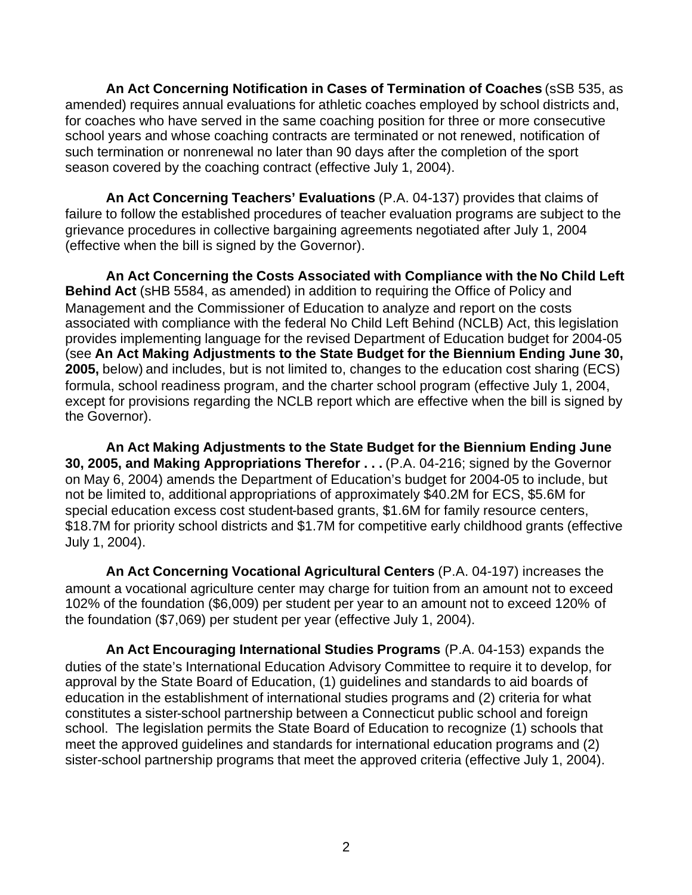**An Act Concerning Notification in Cases of Termination of Coaches** (sSB 535, as amended) requires annual evaluations for athletic coaches employed by school districts and, for coaches who have served in the same coaching position for three or more consecutive school years and whose coaching contracts are terminated or not renewed, notification of such termination or nonrenewal no later than 90 days after the completion of the sport season covered by the coaching contract (effective July 1, 2004).

**An Act Concerning Teachers' Evaluations** (P.A. 04-137) provides that claims of failure to follow the established procedures of teacher evaluation programs are subject to the grievance procedures in collective bargaining agreements negotiated after July 1, 2004 (effective when the bill is signed by the Governor).

**An Act Concerning the Costs Associated with Compliance with the No Child Left Behind Act** (sHB 5584, as amended) in addition to requiring the Office of Policy and Management and the Commissioner of Education to analyze and report on the costs associated with compliance with the federal No Child Left Behind (NCLB) Act, this legislation provides implementing language for the revised Department of Education budget for 2004-05 (see **An Act Making Adjustments to the State Budget for the Biennium Ending June 30, 2005,** below) and includes, but is not limited to, changes to the education cost sharing (ECS) formula, school readiness program, and the charter school program (effective July 1, 2004, except for provisions regarding the NCLB report which are effective when the bill is signed by the Governor).

**An Act Making Adjustments to the State Budget for the Biennium Ending June 30, 2005, and Making Appropriations Therefor . . . (P.A. 04-216; signed by the Governor** on May 6, 2004) amends the Department of Education's budget for 2004-05 to include, but not be limited to, additional appropriations of approximately \$40.2M for ECS, \$5.6M for special education excess cost student-based grants, \$1.6M for family resource centers, \$18.7M for priority school districts and \$1.7M for competitive early childhood grants (effective July 1, 2004).

**An Act Concerning Vocational Agricultural Centers** (P.A. 04-197) increases the amount a vocational agriculture center may charge for tuition from an amount not to exceed 102% of the foundation (\$6,009) per student per year to an amount not to exceed 120% of the foundation (\$7,069) per student per year (effective July 1, 2004).

**An Act Encouraging International Studies Programs** (P.A. 04-153) expands the duties of the state's International Education Advisory Committee to require it to develop, for approval by the State Board of Education, (1) guidelines and standards to aid boards of education in the establishment of international studies programs and (2) criteria for what constitutes a sister-school partnership between a Connecticut public school and foreign school. The legislation permits the State Board of Education to recognize (1) schools that meet the approved guidelines and standards for international education programs and (2) sister-school partnership programs that meet the approved criteria (effective July 1, 2004).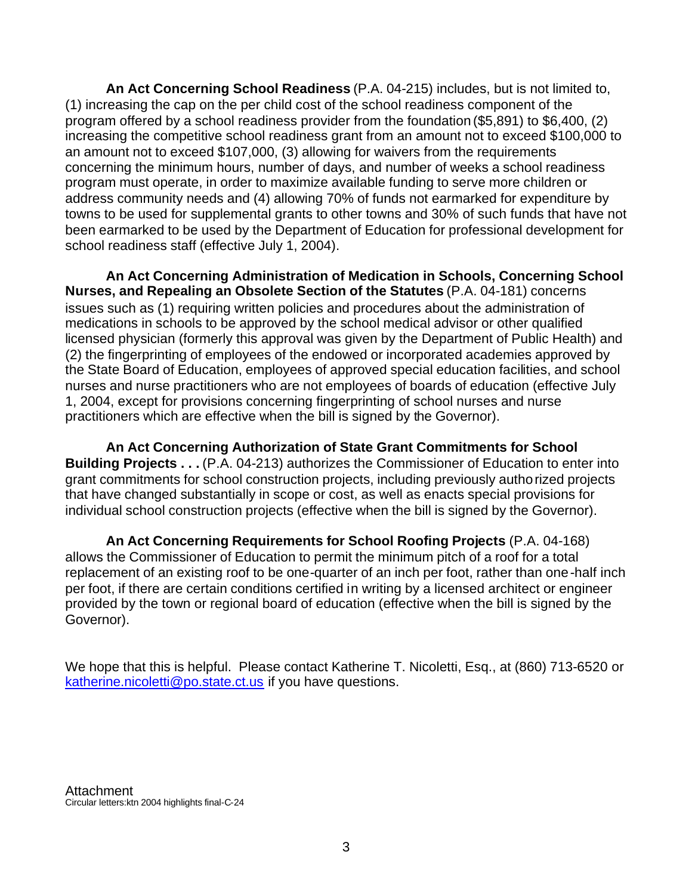**An Act Concerning School Readiness** (P.A. 04-215) includes, but is not limited to, (1) increasing the cap on the per child cost of the school readiness component of the program offered by a school readiness provider from the foundation (\$5,891) to \$6,400, (2) increasing the competitive school readiness grant from an amount not to exceed \$100,000 to an amount not to exceed \$107,000, (3) allowing for waivers from the requirements concerning the minimum hours, number of days, and number of weeks a school readiness program must operate, in order to maximize available funding to serve more children or address community needs and (4) allowing 70% of funds not earmarked for expenditure by towns to be used for supplemental grants to other towns and 30% of such funds that have not been earmarked to be used by the Department of Education for professional development for school readiness staff (effective July 1, 2004).

**An Act Concerning Administration of Medication in Schools, Concerning School Nurses, and Repealing an Obsolete Section of the Statutes** (P.A. 04-181) concerns issues such as (1) requiring written policies and procedures about the administration of medications in schools to be approved by the school medical advisor or other qualified licensed physician (formerly this approval was given by the Department of Public Health) and (2) the fingerprinting of employees of the endowed or incorporated academies approved by the State Board of Education, employees of approved special education facilities, and school nurses and nurse practitioners who are not employees of boards of education (effective July 1, 2004, except for provisions concerning fingerprinting of school nurses and nurse practitioners which are effective when the bill is signed by the Governor).

**An Act Concerning Authorization of State Grant Commitments for School Building Projects . . .** (P.A. 04-213) authorizes the Commissioner of Education to enter into grant commitments for school construction projects, including previously authorized projects that have changed substantially in scope or cost, as well as enacts special provisions for individual school construction projects (effective when the bill is signed by the Governor).

**An Act Concerning Requirements for School Roofing Projects** (P.A. 04-168) allows the Commissioner of Education to permit the minimum pitch of a roof for a total replacement of an existing roof to be one-quarter of an inch per foot, rather than one-half inch per foot, if there are certain conditions certified in writing by a licensed architect or engineer provided by the town or regional board of education (effective when the bill is signed by the Governor).

We hope that this is helpful. Please contact Katherine T. Nicoletti, Esq., at (860) 713-6520 or katherine.nicoletti@po.state.ct.us if you have questions.